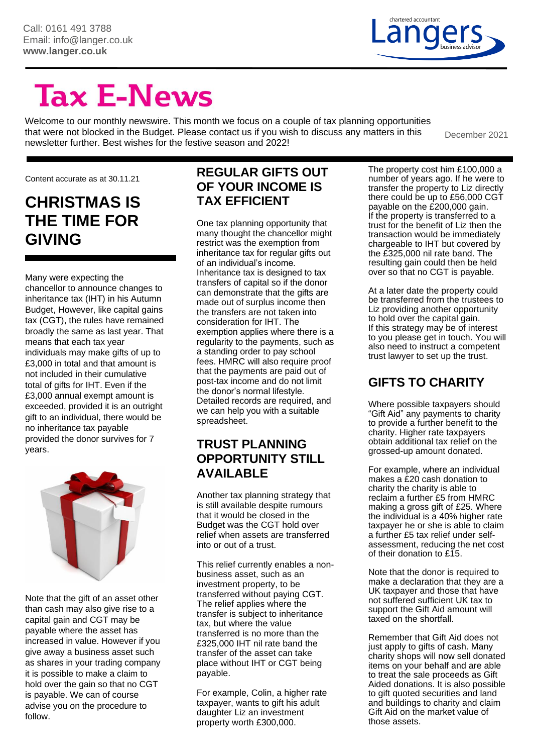

# **Tax E-News**

Welcome to our monthly newswire. This month we focus on a couple of tax planning opportunities that were not blocked in the Budget. Please contact us if you wish to discuss any matters in this newsletter further. Best wishes for the festive season and 2022!

December 2021

Content accurate as at 30.11.21

## **CHRISTMAS IS THE TIME FOR GIVING**

Many were expecting the chancellor to announce changes to inheritance tax (IHT) in his Autumn Budget, However, like capital gains tax (CGT), the rules have remained broadly the same as last year. That means that each tax year individuals may make gifts of up to £3,000 in total and that amount is not included in their cumulative total of gifts for IHT. Even if the £3,000 annual exempt amount is exceeded, provided it is an outright gift to an individual, there would be no inheritance tax payable provided the donor survives for 7 years.



Note that the gift of an asset other than cash may also give rise to a capital gain and CGT may be payable where the asset has increased in value. However if you give away a business asset such as shares in your trading company it is possible to make a claim to hold over the gain so that no CGT is payable. We can of course advise you on the procedure to follow.

#### **REGULAR GIFTS OUT OF YOUR INCOME IS TAX EFFICIENT**

One tax planning opportunity that many thought the chancellor might restrict was the exemption from inheritance tax for regular gifts out of an individual's income. Inheritance tax is designed to tax transfers of capital so if the donor can demonstrate that the gifts are made out of surplus income then the transfers are not taken into consideration for IHT. The exemption applies where there is a regularity to the payments, such as a standing order to pay school fees. HMRC will also require proof that the payments are paid out of post-tax income and do not limit the donor's normal lifestyle. Detailed records are required, and we can help you with a suitable spreadsheet.

#### **TRUST PLANNING OPPORTUNITY STILL AVAILABLE**

Another tax planning strategy that is still available despite rumours that it would be closed in the Budget was the CGT hold over relief when assets are transferred into or out of a trust.

This relief currently enables a nonbusiness asset, such as an investment property, to be transferred without paying CGT. The relief applies where the transfer is subject to inheritance tax, but where the value transferred is no more than the £325,000 IHT nil rate band the transfer of the asset can take place without IHT or CGT being payable.

For example, Colin, a higher rate taxpayer, wants to gift his adult daughter Liz an investment property worth £300,000.

The property cost him £100,000 a number of years ago. If he were to transfer the property to Liz directly there could be up to £56,000 CGT payable on the £200,000 gain. If the property is transferred to a trust for the benefit of Liz then the transaction would be immediately chargeable to IHT but covered by the £325,000 nil rate band. The resulting gain could then be held over so that no CGT is payable.

At a later date the property could be transferred from the trustees to Liz providing another opportunity to hold over the capital gain. If this strategy may be of interest to you please get in touch. You will also need to instruct a competent trust lawyer to set up the trust.

#### **GIFTS TO CHARITY**

Where possible taxpayers should "Gift Aid" any payments to charity to provide a further benefit to the charity. Higher rate taxpayers obtain additional tax relief on the grossed-up amount donated.

For example, where an individual makes a £20 cash donation to charity the charity is able to reclaim a further £5 from HMRC making a gross gift of £25. Where the individual is a 40% higher rate taxpayer he or she is able to claim a further £5 tax relief under selfassessment, reducing the net cost of their donation to £15.

Note that the donor is required to make a declaration that they are a UK taxpayer and those that have not suffered sufficient UK tax to support the Gift Aid amount will taxed on the shortfall.

Remember that Gift Aid does not just apply to gifts of cash. Many charity shops will now sell donated items on your behalf and are able to treat the sale proceeds as Gift Aided donations. It is also possible to gift quoted securities and land and buildings to charity and claim Gift Aid on the market value of those assets.